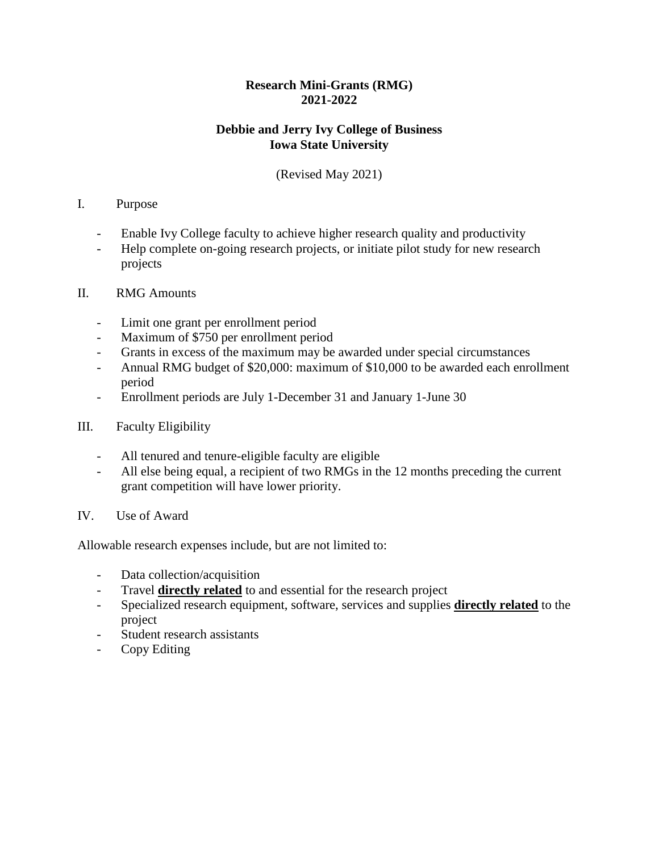## **Research Mini-Grants (RMG) 2021-2022**

## **Debbie and Jerry Ivy College of Business Iowa State University**

## (Revised May 2021)

## I. Purpose

- Enable Ivy College faculty to achieve higher research quality and productivity
- Help complete on-going research projects, or initiate pilot study for new research projects
- II. RMG Amounts
	- Limit one grant per enrollment period
	- Maximum of \$750 per enrollment period
	- Grants in excess of the maximum may be awarded under special circumstances
	- Annual RMG budget of \$20,000: maximum of \$10,000 to be awarded each enrollment period
	- Enrollment periods are July 1-December 31 and January 1-June 30
- III. Faculty Eligibility
	- All tenured and tenure-eligible faculty are eligible
	- All else being equal, a recipient of two RMGs in the 12 months preceding the current grant competition will have lower priority.
- IV. Use of Award

Allowable research expenses include, but are not limited to:

- Data collection/acquisition
- Travel **directly related** to and essential for the research project
- Specialized research equipment, software, services and supplies **directly related** to the project
- Student research assistants
- Copy Editing